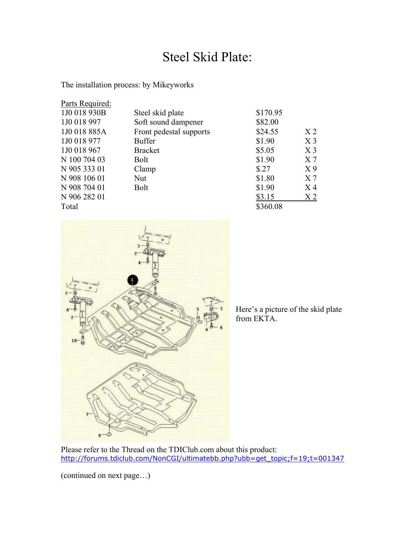## Steel Skid Plate:

The installation process: by Mikeyworks

| Parts Required: |                         |          |                |
|-----------------|-------------------------|----------|----------------|
| 1J0 018 930B    | Steel skid plate        | \$170.95 |                |
| 1J0 018 997     | Soft sound dampener     | \$82.00  |                |
| 1J0 018 885A    | Front pedestal supports | \$24.55  | X <sub>2</sub> |
| 1J0 018 977     | <b>Buffer</b>           | \$1.90   | X <sub>3</sub> |
| 1J0 018 967     | <b>Bracket</b>          | \$5.05   | X <sub>3</sub> |
| N 100 704 03    | <b>Bolt</b>             | \$1.90   | X <sub>7</sub> |
| N 905 333 01    | Clamp                   | \$.27    | X <sub>9</sub> |
| N 908 106 01    | <b>Nut</b>              | \$1.80   | X <sub>7</sub> |
| N 908 704 01    | <b>Bolt</b>             | \$1.90   | $X_4$          |
| N 906 282 01    |                         | \$3.15   | X <sub>2</sub> |
| Total           |                         | \$360.08 |                |



Here's a picture of the skid plate from EKTA.

Please refer to the Thread on the TDIClub.com about this product: [http://forums.tdiclub.com/NonCGI/ultimatebb.php?ubb=get\\_topic;f=19;t=001347](http://forums.tdiclub.com/NonCGI/ultimatebb.php?ubb=get_topic;f=19;t=001347)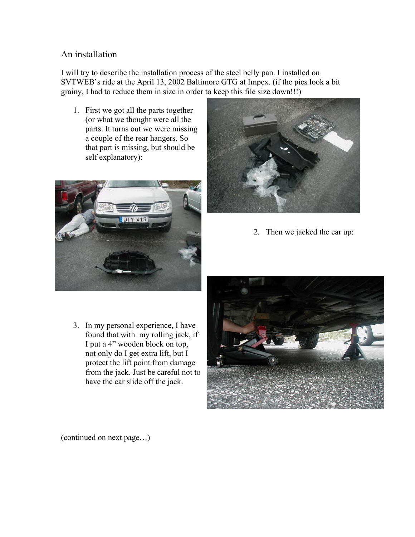## An installation

I will try to describe the installation process of the steel belly pan. I installed on SVTWEB's ride at the April 13, 2002 Baltimore GTG at Impex. (if the pics look a bit grainy, I had to reduce them in size in order to keep this file size down!!!)

1. First we got all the parts together (or what we thought were all the parts. It turns out we were missing a couple of the rear hangers. So that part is missing, but should be self explanatory):





2. Then we jacked the car up:

3. In my personal experience, I have found that with my rolling jack, if I put a 4" wooden block on top, not only do I get extra lift, but I protect the lift point from damage from the jack. Just be careful not to have the car slide off the jack.

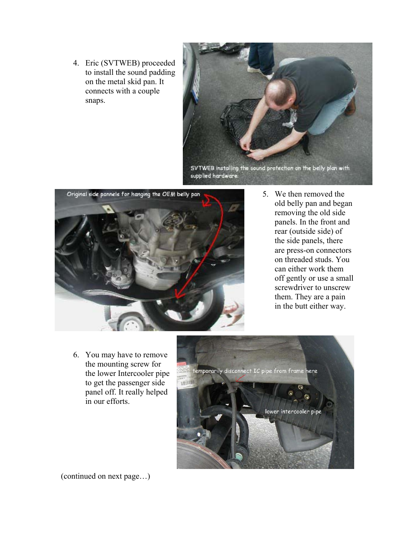4. Eric (SVTWEB) proceeded to install the sound padding on the metal skid pan. It connects with a couple snaps.





5. We then removed the old belly pan and began removing the old side panels. In the front and rear (outside side) of the side panels, there are press-on connectors on threaded studs. You can either work them off gently or use a small screwdriver to unscrew them. They are a pain in the butt either way.

6. You may have to remove the mounting screw for the lower Intercooler pipe to get the passenger side panel off. It really helped in our efforts.

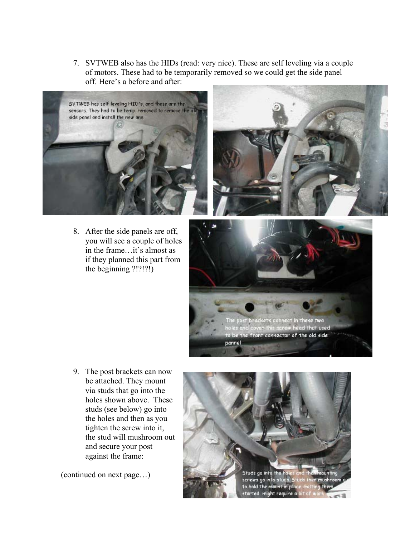7. SVTWEB also has the HIDs (read: very nice). These are self leveling via a couple of motors. These had to be temporarily removed so we could get the side panel off. Here's a before and after:



8. After the side panels are off, you will see a couple of holes in the frame…it's almost as if they planned this part from the beginning ?!?!?!)





9. The post brackets can now be attached. They mount via studs that go into the holes shown above. These studs (see below) go into the holes and then as you tighten the screw into it, the stud will mushroom out and secure your post against the frame:

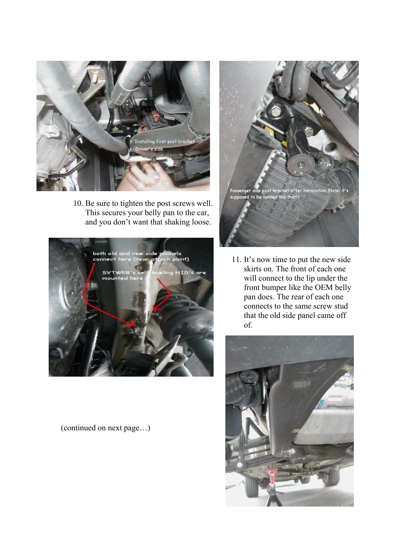

10. Be sure to tighten the post screws well. This secures your belly pan to the car, and you don't want that shaking loose.



(continued on next page…)



11. It's now time to put the new side skirts on. The front of each one will connect to the lip under the front bumper like the OEM belly pan does. The rear of each one connects to the same screw stud that the old side panel came off of.

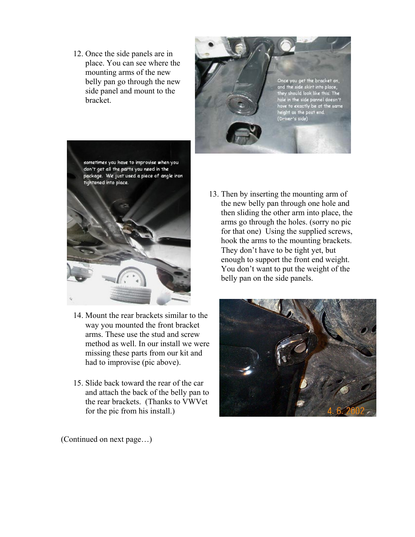12. Once the side panels are in place. You can see where the mounting arms of the new belly pan go through the new side panel and mount to the bracket.





- 14. Mount the rear brackets similar to the way you mounted the front bracket arms. These use the stud and screw method as well. In our install we were missing these parts from our kit and had to improvise (pic above).
- 15. Slide back toward the rear of the car and attach the back of the belly pan to the rear brackets. (Thanks to VWVet for the pic from his install.)

13. Then by inserting the mounting arm of the new belly pan through one hole and then sliding the other arm into place, the arms go through the holes. (sorry no pic for that one) Using the supplied screws, hook the arms to the mounting brackets. They don't have to be tight yet, but enough to support the front end weight. You don't want to put the weight of the belly pan on the side panels.